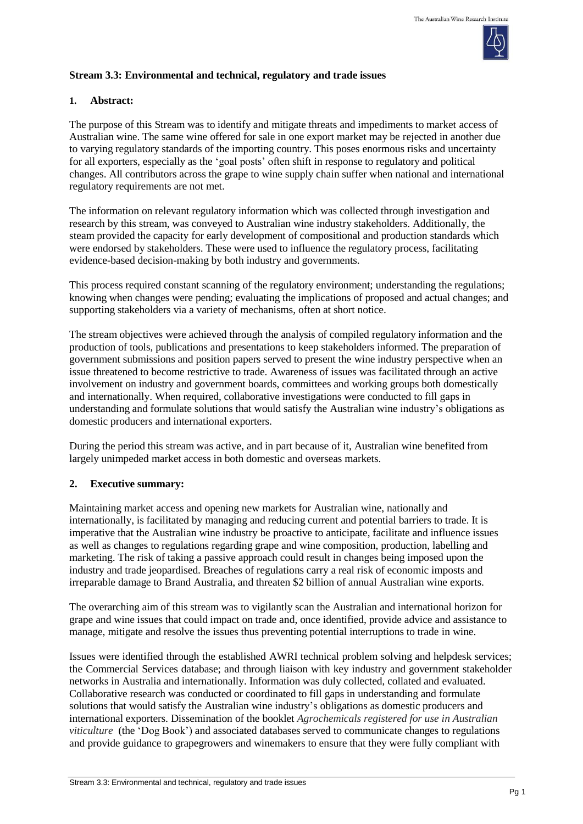

## **Stream 3.3: Environmental and technical, regulatory and trade issues**

### **1. Abstract:**

The purpose of this Stream was to identify and mitigate threats and impediments to market access of Australian wine. The same wine offered for sale in one export market may be rejected in another due to varying regulatory standards of the importing country. This poses enormous risks and uncertainty for all exporters, especially as the 'goal posts' often shift in response to regulatory and political changes. All contributors across the grape to wine supply chain suffer when national and international regulatory requirements are not met.

The information on relevant regulatory information which was collected through investigation and research by this stream, was conveyed to Australian wine industry stakeholders. Additionally, the steam provided the capacity for early development of compositional and production standards which were endorsed by stakeholders. These were used to influence the regulatory process, facilitating evidence-based decision-making by both industry and governments.

This process required constant scanning of the regulatory environment; understanding the regulations; knowing when changes were pending; evaluating the implications of proposed and actual changes; and supporting stakeholders via a variety of mechanisms, often at short notice.

The stream objectives were achieved through the analysis of compiled regulatory information and the production of tools, publications and presentations to keep stakeholders informed. The preparation of government submissions and position papers served to present the wine industry perspective when an issue threatened to become restrictive to trade. Awareness of issues was facilitated through an active involvement on industry and government boards, committees and working groups both domestically and internationally. When required, collaborative investigations were conducted to fill gaps in understanding and formulate solutions that would satisfy the Australian wine industry's obligations as domestic producers and international exporters.

During the period this stream was active, and in part because of it, Australian wine benefited from largely unimpeded market access in both domestic and overseas markets.

### **2. Executive summary:**

Maintaining market access and opening new markets for Australian wine, nationally and internationally, is facilitated by managing and reducing current and potential barriers to trade. It is imperative that the Australian wine industry be proactive to anticipate, facilitate and influence issues as well as changes to regulations regarding grape and wine composition, production, labelling and marketing. The risk of taking a passive approach could result in changes being imposed upon the industry and trade jeopardised. Breaches of regulations carry a real risk of economic imposts and irreparable damage to Brand Australia, and threaten \$2 billion of annual Australian wine exports.

The overarching aim of this stream was to vigilantly scan the Australian and international horizon for grape and wine issues that could impact on trade and, once identified, provide advice and assistance to manage, mitigate and resolve the issues thus preventing potential interruptions to trade in wine.

Issues were identified through the established AWRI technical problem solving and helpdesk services; the Commercial Services database; and through liaison with key industry and government stakeholder networks in Australia and internationally. Information was duly collected, collated and evaluated. Collaborative research was conducted or coordinated to fill gaps in understanding and formulate solutions that would satisfy the Australian wine industry's obligations as domestic producers and international exporters. Dissemination of the booklet *Agrochemicals registered for use in Australian viticulture* (the 'Dog Book') and associated databases served to communicate changes to regulations and provide guidance to grapegrowers and winemakers to ensure that they were fully compliant with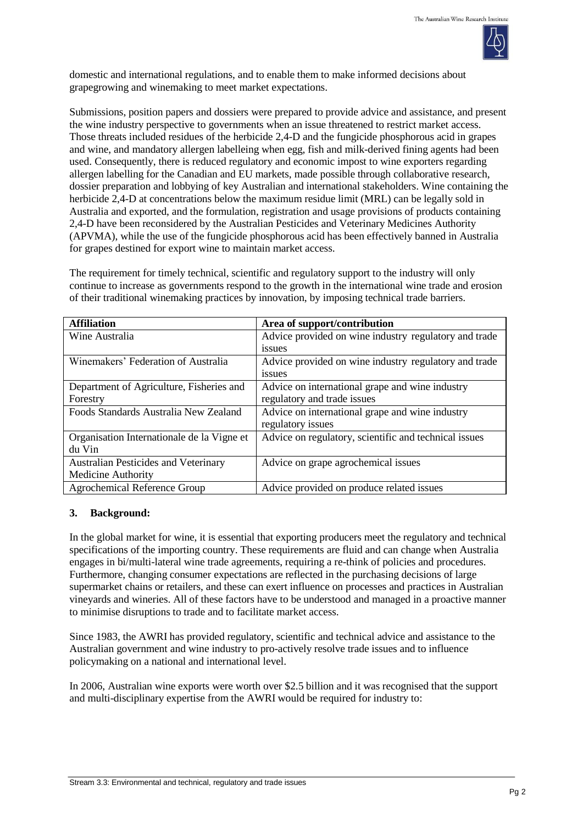

domestic and international regulations, and to enable them to make informed decisions about grapegrowing and winemaking to meet market expectations.

Submissions, position papers and dossiers were prepared to provide advice and assistance, and present the wine industry perspective to governments when an issue threatened to restrict market access. Those threats included residues of the herbicide 2,4-D and the fungicide phosphorous acid in grapes and wine, and mandatory allergen labelleing when egg, fish and milk-derived fining agents had been used. Consequently, there is reduced regulatory and economic impost to wine exporters regarding allergen labelling for the Canadian and EU markets, made possible through collaborative research, dossier preparation and lobbying of key Australian and international stakeholders. Wine containing the herbicide 2,4-D at concentrations below the maximum residue limit (MRL) can be legally sold in Australia and exported, and the formulation, registration and usage provisions of products containing 2,4-D have been reconsidered by the Australian Pesticides and Veterinary Medicines Authority (APVMA), while the use of the fungicide phosphorous acid has been effectively banned in Australia for grapes destined for export wine to maintain market access.

The requirement for timely technical, scientific and regulatory support to the industry will only continue to increase as governments respond to the growth in the international wine trade and erosion of their traditional winemaking practices by innovation, by imposing technical trade barriers.

| <b>Affiliation</b>                          | Area of support/contribution                          |
|---------------------------------------------|-------------------------------------------------------|
| Wine Australia                              | Advice provided on wine industry regulatory and trade |
|                                             | issues                                                |
| Winemakers' Federation of Australia         | Advice provided on wine industry regulatory and trade |
|                                             | issues                                                |
| Department of Agriculture, Fisheries and    | Advice on international grape and wine industry       |
| Forestry                                    | regulatory and trade issues                           |
| Foods Standards Australia New Zealand       | Advice on international grape and wine industry       |
|                                             | regulatory issues                                     |
| Organisation Internationale de la Vigne et  | Advice on regulatory, scientific and technical issues |
| du Vin                                      |                                                       |
| <b>Australian Pesticides and Veterinary</b> | Advice on grape agrochemical issues                   |
| <b>Medicine Authority</b>                   |                                                       |
| <b>Agrochemical Reference Group</b>         | Advice provided on produce related issues             |

# **3. Background:**

In the global market for wine, it is essential that exporting producers meet the regulatory and technical specifications of the importing country. These requirements are fluid and can change when Australia engages in bi/multi-lateral wine trade agreements, requiring a re-think of policies and procedures. Furthermore, changing consumer expectations are reflected in the purchasing decisions of large supermarket chains or retailers, and these can exert influence on processes and practices in Australian vineyards and wineries. All of these factors have to be understood and managed in a proactive manner to minimise disruptions to trade and to facilitate market access.

Since 1983, the AWRI has provided regulatory, scientific and technical advice and assistance to the Australian government and wine industry to pro-actively resolve trade issues and to influence policymaking on a national and international level.

In 2006, Australian wine exports were worth over \$2.5 billion and it was recognised that the support and multi-disciplinary expertise from the AWRI would be required for industry to: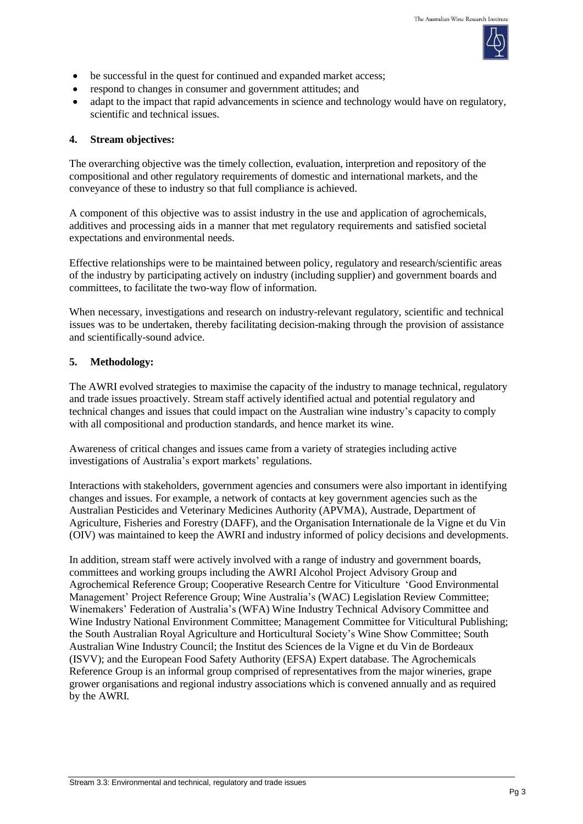

- be successful in the quest for continued and expanded market access;
- respond to changes in consumer and government attitudes; and
- adapt to the impact that rapid advancements in science and technology would have on regulatory, scientific and technical issues.

#### **4. Stream objectives:**

The overarching objective was the timely collection, evaluation, interpretion and repository of the compositional and other regulatory requirements of domestic and international markets, and the conveyance of these to industry so that full compliance is achieved.

A component of this objective was to assist industry in the use and application of agrochemicals, additives and processing aids in a manner that met regulatory requirements and satisfied societal expectations and environmental needs.

Effective relationships were to be maintained between policy, regulatory and research/scientific areas of the industry by participating actively on industry (including supplier) and government boards and committees, to facilitate the two-way flow of information.

When necessary, investigations and research on industry-relevant regulatory, scientific and technical issues was to be undertaken, thereby facilitating decision-making through the provision of assistance and scientifically-sound advice.

### **5. Methodology:**

The AWRI evolved strategies to maximise the capacity of the industry to manage technical, regulatory and trade issues proactively. Stream staff actively identified actual and potential regulatory and technical changes and issues that could impact on the Australian wine industry's capacity to comply with all compositional and production standards, and hence market its wine.

Awareness of critical changes and issues came from a variety of strategies including active investigations of Australia's export markets' regulations.

Interactions with stakeholders, government agencies and consumers were also important in identifying changes and issues. For example, a network of contacts at key government agencies such as the Australian Pesticides and Veterinary Medicines Authority (APVMA), Austrade, Department of Agriculture, Fisheries and Forestry (DAFF), and the Organisation Internationale de la Vigne et du Vin (OIV) was maintained to keep the AWRI and industry informed of policy decisions and developments.

In addition, stream staff were actively involved with a range of industry and government boards, committees and working groups including the AWRI Alcohol Project Advisory Group and Agrochemical Reference Group; Cooperative Research Centre for Viticulture 'Good Environmental Management' Project Reference Group; Wine Australia's (WAC) Legislation Review Committee; Winemakers' Federation of Australia's (WFA) Wine Industry Technical Advisory Committee and Wine Industry National Environment Committee; Management Committee for Viticultural Publishing; the South Australian Royal Agriculture and Horticultural Society's Wine Show Committee; South Australian Wine Industry Council; the Institut des Sciences de la Vigne et du Vin de Bordeaux (ISVV); and the European Food Safety Authority (EFSA) Expert database. The Agrochemicals Reference Group is an informal group comprised of representatives from the major wineries, grape grower organisations and regional industry associations which is convened annually and as required by the AWRI.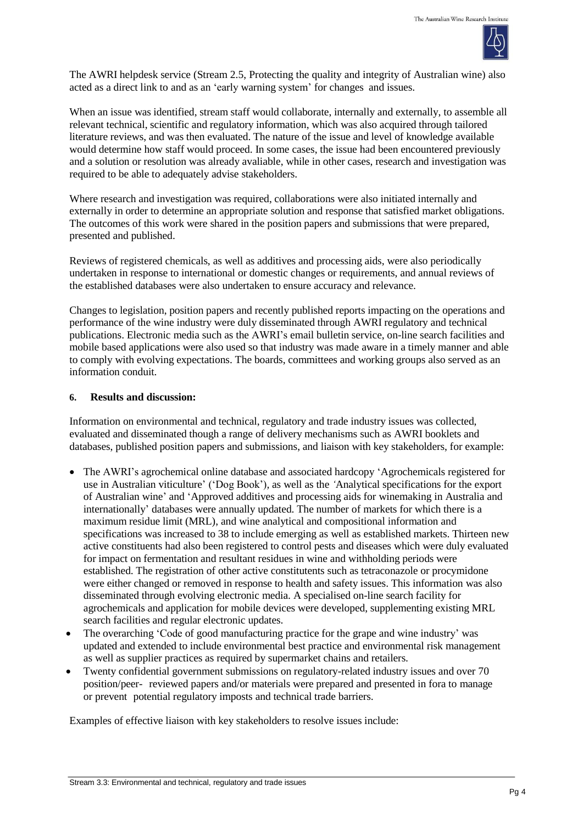

The AWRI helpdesk service (Stream 2.5, Protecting the quality and integrity of Australian wine) also acted as a direct link to and as an 'early warning system' for changes and issues.

When an issue was identified, stream staff would collaborate, internally and externally, to assemble all relevant technical, scientific and regulatory information, which was also acquired through tailored literature reviews, and was then evaluated. The nature of the issue and level of knowledge available would determine how staff would proceed. In some cases, the issue had been encountered previously and a solution or resolution was already avaliable, while in other cases, research and investigation was required to be able to adequately advise stakeholders.

Where research and investigation was required, collaborations were also initiated internally and externally in order to determine an appropriate solution and response that satisfied market obligations. The outcomes of this work were shared in the position papers and submissions that were prepared, presented and published.

Reviews of registered chemicals, as well as additives and processing aids, were also periodically undertaken in response to international or domestic changes or requirements, and annual reviews of the established databases were also undertaken to ensure accuracy and relevance.

Changes to legislation, position papers and recently published reports impacting on the operations and performance of the wine industry were duly disseminated through AWRI regulatory and technical publications. Electronic media such as the AWRI's email bulletin service, on-line search facilities and mobile based applications were also used so that industry was made aware in a timely manner and able to comply with evolving expectations. The boards, committees and working groups also served as an information conduit.

### **6. Results and discussion:**

Information on environmental and technical, regulatory and trade industry issues was collected, evaluated and disseminated though a range of delivery mechanisms such as AWRI booklets and databases, published position papers and submissions, and liaison with key stakeholders, for example:

- The AWRI's agrochemical online database and associated hardcopy 'Agrochemicals registered for use in Australian viticulture' ('Dog Book')*,* as well as the *'*Analytical specifications for the export of Australian wine' and 'Approved additives and processing aids for winemaking in Australia and internationally' databases were annually updated. The number of markets for which there is a maximum residue limit (MRL), and wine analytical and compositional information and specifications was increased to 38 to include emerging as well as established markets. Thirteen new active constituents had also been registered to control pests and diseases which were duly evaluated for impact on fermentation and resultant residues in wine and withholding periods were established. The registration of other active constitutents such as tetraconazole or procymidone were either changed or removed in response to health and safety issues. This information was also disseminated through evolving electronic media. A specialised on-line search facility for agrochemicals and application for mobile devices were developed, supplementing existing MRL search facilities and regular electronic updates.
- The overarching 'Code of good manufacturing practice for the grape and wine industry' was updated and extended to include environmental best practice and environmental risk management as well as supplier practices as required by supermarket chains and retailers.
- Twenty confidential government submissions on regulatory-related industry issues and over 70 position/peer- reviewed papers and/or materials were prepared and presented in fora to manage or prevent potential regulatory imposts and technical trade barriers.

Examples of effective liaison with key stakeholders to resolve issues include: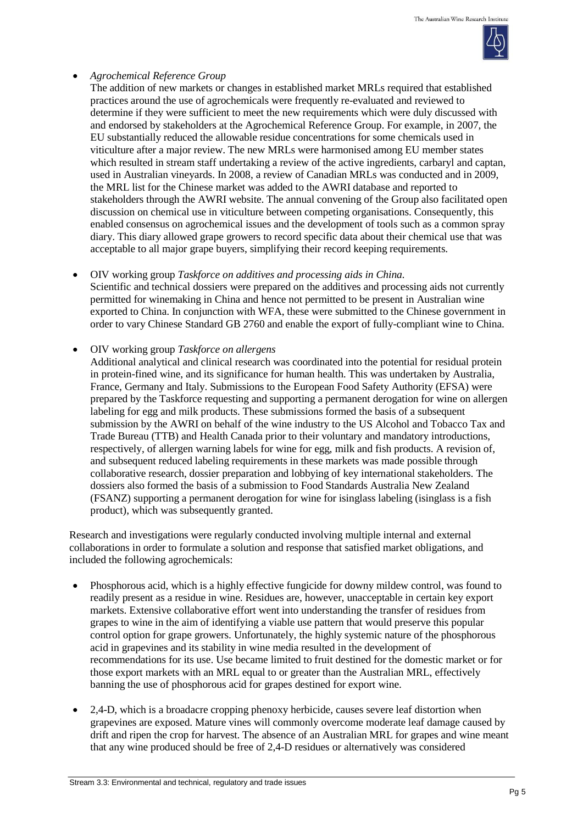

## *Agrochemical Reference Group*

The addition of new markets or changes in established market MRLs required that established practices around the use of agrochemicals were frequently re-evaluated and reviewed to determine if they were sufficient to meet the new requirements which were duly discussed with and endorsed by stakeholders at the Agrochemical Reference Group. For example, in 2007, the EU substantially reduced the allowable residue concentrations for some chemicals used in viticulture after a major review. The new MRLs were harmonised among EU member states which resulted in stream staff undertaking a review of the active ingredients, carbaryl and captan, used in Australian vineyards. In 2008, a review of Canadian MRLs was conducted and in 2009, the MRL list for the Chinese market was added to the AWRI database and reported to stakeholders through the AWRI website. The annual convening of the Group also facilitated open discussion on chemical use in viticulture between competing organisations. Consequently, this enabled consensus on agrochemical issues and the development of tools such as a common spray diary. This diary allowed grape growers to record specific data about their chemical use that was acceptable to all major grape buyers, simplifying their record keeping requirements.

### OIV working group *Taskforce on additives and processing aids in China.*

Scientific and technical dossiers were prepared on the additives and processing aids not currently permitted for winemaking in China and hence not permitted to be present in Australian wine exported to China. In conjunction with WFA, these were submitted to the Chinese government in order to vary Chinese Standard GB 2760 and enable the export of fully-compliant wine to China.

## OIV working group *Taskforce on allergens*

Additional analytical and clinical research was coordinated into the potential for residual protein in protein-fined wine, and its significance for human health. This was undertaken by Australia, France, Germany and Italy. Submissions to the European Food Safety Authority (EFSA) were prepared by the Taskforce requesting and supporting a permanent derogation for wine on allergen labeling for egg and milk products. These submissions formed the basis of a subsequent submission by the AWRI on behalf of the wine industry to the US Alcohol and Tobacco Tax and Trade Bureau (TTB) and Health Canada prior to their voluntary and mandatory introductions, respectively, of allergen warning labels for wine for egg, milk and fish products. A revision of, and subsequent reduced labeling requirements in these markets was made possible through collaborative research, dossier preparation and lobbying of key international stakeholders. The dossiers also formed the basis of a submission to Food Standards Australia New Zealand (FSANZ) supporting a permanent derogation for wine for isinglass labeling (isinglass is a fish product), which was subsequently granted.

Research and investigations were regularly conducted involving multiple internal and external collaborations in order to formulate a solution and response that satisfied market obligations, and included the following agrochemicals:

- Phosphorous acid, which is a highly effective fungicide for downy mildew control, was found to readily present as a residue in wine. Residues are, however, unacceptable in certain key export markets. Extensive collaborative effort went into understanding the transfer of residues from grapes to wine in the aim of identifying a viable use pattern that would preserve this popular control option for grape growers. Unfortunately, the highly systemic nature of the phosphorous acid in grapevines and its stability in wine media resulted in the development of recommendations for its use. Use became limited to fruit destined for the domestic market or for those export markets with an MRL equal to or greater than the Australian MRL, effectively banning the use of phosphorous acid for grapes destined for export wine.
- 2,4-D, which is a broadacre cropping phenoxy herbicide, causes severe leaf distortion when grapevines are exposed. Mature vines will commonly overcome moderate leaf damage caused by drift and ripen the crop for harvest. The absence of an Australian MRL for grapes and wine meant that any wine produced should be free of 2,4-D residues or alternatively was considered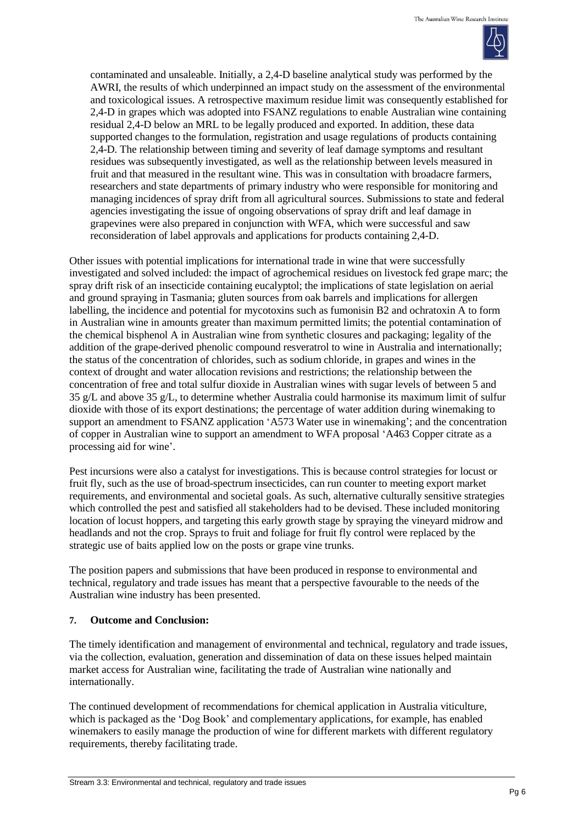

contaminated and unsaleable. Initially, a 2,4-D baseline analytical study was performed by the AWRI, the results of which underpinned an impact study on the assessment of the environmental and toxicological issues. A retrospective maximum residue limit was consequently established for 2,4-D in grapes which was adopted into FSANZ regulations to enable Australian wine containing residual 2,4-D below an MRL to be legally produced and exported. In addition, these data supported changes to the formulation, registration and usage regulations of products containing 2,4-D. The relationship between timing and severity of leaf damage symptoms and resultant residues was subsequently investigated, as well as the relationship between levels measured in fruit and that measured in the resultant wine. This was in consultation with broadacre farmers, researchers and state departments of primary industry who were responsible for monitoring and managing incidences of spray drift from all agricultural sources. Submissions to state and federal agencies investigating the issue of ongoing observations of spray drift and leaf damage in grapevines were also prepared in conjunction with WFA, which were successful and saw reconsideration of label approvals and applications for products containing 2,4-D.

Other issues with potential implications for international trade in wine that were successfully investigated and solved included: the impact of agrochemical residues on livestock fed grape marc; the spray drift risk of an insecticide containing eucalyptol; the implications of state legislation on aerial and ground spraying in Tasmania; gluten sources from oak barrels and implications for allergen labelling, the incidence and potential for mycotoxins such as fumonisin B2 and ochratoxin A to form in Australian wine in amounts greater than maximum permitted limits; the potential contamination of the chemical bisphenol A in Australian wine from synthetic closures and packaging; legality of the addition of the grape-derived phenolic compound resveratrol to wine in Australia and internationally; the status of the concentration of chlorides, such as sodium chloride, in grapes and wines in the context of drought and water allocation revisions and restrictions; the relationship between the concentration of free and total sulfur dioxide in Australian wines with sugar levels of between 5 and 35 g/L and above 35 g/L, to determine whether Australia could harmonise its maximum limit of sulfur dioxide with those of its export destinations; the percentage of water addition during winemaking to support an amendment to FSANZ application 'A573 Water use in winemaking'; and the concentration of copper in Australian wine to support an amendment to WFA proposal 'A463 Copper citrate as a processing aid for wine'.

Pest incursions were also a catalyst for investigations. This is because control strategies for locust or fruit fly, such as the use of broad-spectrum insecticides, can run counter to meeting export market requirements, and environmental and societal goals. As such, alternative culturally sensitive strategies which controlled the pest and satisfied all stakeholders had to be devised. These included monitoring location of locust hoppers, and targeting this early growth stage by spraying the vineyard midrow and headlands and not the crop. Sprays to fruit and foliage for fruit fly control were replaced by the strategic use of baits applied low on the posts or grape vine trunks.

The position papers and submissions that have been produced in response to environmental and technical, regulatory and trade issues has meant that a perspective favourable to the needs of the Australian wine industry has been presented.

### **7. Outcome and Conclusion:**

The timely identification and management of environmental and technical, regulatory and trade issues, via the collection, evaluation, generation and dissemination of data on these issues helped maintain market access for Australian wine, facilitating the trade of Australian wine nationally and internationally.

The continued development of recommendations for chemical application in Australia viticulture, which is packaged as the 'Dog Book' and complementary applications, for example, has enabled winemakers to easily manage the production of wine for different markets with different regulatory requirements, thereby facilitating trade.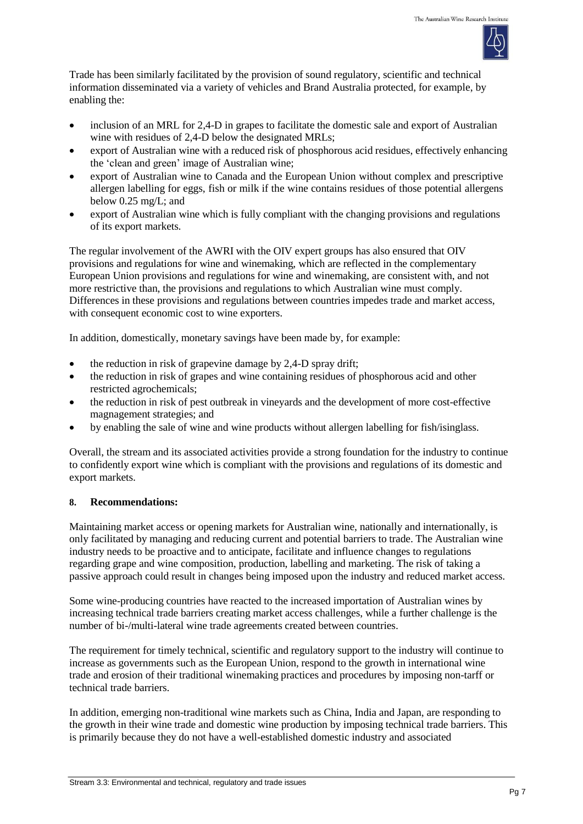

Trade has been similarly facilitated by the provision of sound regulatory, scientific and technical information disseminated via a variety of vehicles and Brand Australia protected, for example, by enabling the:

- inclusion of an MRL for 2,4-D in grapes to facilitate the domestic sale and export of Australian wine with residues of 2,4-D below the designated MRLs;
- export of Australian wine with a reduced risk of phosphorous acid residues, effectively enhancing the 'clean and green' image of Australian wine;
- export of Australian wine to Canada and the European Union without complex and prescriptive allergen labelling for eggs, fish or milk if the wine contains residues of those potential allergens below 0.25 mg/L; and
- export of Australian wine which is fully compliant with the changing provisions and regulations of its export markets.

The regular involvement of the AWRI with the OIV expert groups has also ensured that OIV provisions and regulations for wine and winemaking, which are reflected in the complementary European Union provisions and regulations for wine and winemaking, are consistent with, and not more restrictive than, the provisions and regulations to which Australian wine must comply. Differences in these provisions and regulations between countries impedes trade and market access, with consequent economic cost to wine exporters.

In addition, domestically, monetary savings have been made by, for example:

- $\bullet$  the reduction in risk of grapevine damage by 2,4-D spray drift;
- the reduction in risk of grapes and wine containing residues of phosphorous acid and other restricted agrochemicals;
- the reduction in risk of pest outbreak in vineyards and the development of more cost-effective magnagement strategies; and
- by enabling the sale of wine and wine products without allergen labelling for fish/isinglass.

Overall, the stream and its associated activities provide a strong foundation for the industry to continue to confidently export wine which is compliant with the provisions and regulations of its domestic and export markets.

### **8. Recommendations:**

Maintaining market access or opening markets for Australian wine, nationally and internationally, is only facilitated by managing and reducing current and potential barriers to trade. The Australian wine industry needs to be proactive and to anticipate, facilitate and influence changes to regulations regarding grape and wine composition, production, labelling and marketing. The risk of taking a passive approach could result in changes being imposed upon the industry and reduced market access.

Some wine-producing countries have reacted to the increased importation of Australian wines by increasing technical trade barriers creating market access challenges, while a further challenge is the number of bi-/multi-lateral wine trade agreements created between countries.

The requirement for timely technical, scientific and regulatory support to the industry will continue to increase as governments such as the European Union, respond to the growth in international wine trade and erosion of their traditional winemaking practices and procedures by imposing non-tarff or technical trade barriers.

In addition, emerging non-traditional wine markets such as China, India and Japan, are responding to the growth in their wine trade and domestic wine production by imposing technical trade barriers. This is primarily because they do not have a well-established domestic industry and associated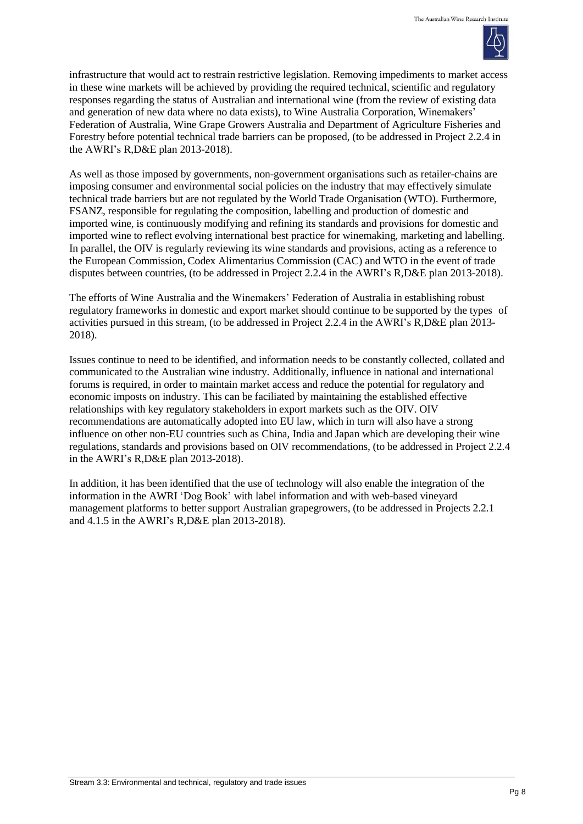

infrastructure that would act to restrain restrictive legislation. Removing impediments to market access in these wine markets will be achieved by providing the required technical, scientific and regulatory responses regarding the status of Australian and international wine (from the review of existing data and generation of new data where no data exists), to Wine Australia Corporation, Winemakers' Federation of Australia, Wine Grape Growers Australia and Department of Agriculture Fisheries and Forestry before potential technical trade barriers can be proposed, (to be addressed in Project 2.2.4 in the AWRI's R,D&E plan 2013-2018).

As well as those imposed by governments, non-government organisations such as retailer-chains are imposing consumer and environmental social policies on the industry that may effectively simulate technical trade barriers but are not regulated by the World Trade Organisation (WTO). Furthermore, FSANZ, responsible for regulating the composition, labelling and production of domestic and imported wine, is continuously modifying and refining its standards and provisions for domestic and imported wine to reflect evolving international best practice for winemaking, marketing and labelling. In parallel, the OIV is regularly reviewing its wine standards and provisions, acting as a reference to the European Commission, Codex Alimentarius Commission (CAC) and WTO in the event of trade disputes between countries, (to be addressed in Project 2.2.4 in the AWRI's R,D&E plan 2013-2018).

The efforts of Wine Australia and the Winemakers' Federation of Australia in establishing robust regulatory frameworks in domestic and export market should continue to be supported by the types of activities pursued in this stream, (to be addressed in Project 2.2.4 in the AWRI's R,D&E plan 2013- 2018).

Issues continue to need to be identified, and information needs to be constantly collected, collated and communicated to the Australian wine industry. Additionally, influence in national and international forums is required, in order to maintain market access and reduce the potential for regulatory and economic imposts on industry. This can be faciliated by maintaining the established effective relationships with key regulatory stakeholders in export markets such as the OIV. OIV recommendations are automatically adopted into EU law, which in turn will also have a strong influence on other non-EU countries such as China, India and Japan which are developing their wine regulations, standards and provisions based on OIV recommendations, (to be addressed in Project 2.2.4 in the AWRI's R,D&E plan 2013-2018).

In addition, it has been identified that the use of technology will also enable the integration of the information in the AWRI 'Dog Book' with label information and with web-based vineyard management platforms to better support Australian grapegrowers, (to be addressed in Projects 2.2.1 and 4.1.5 in the AWRI's R,D&E plan 2013-2018).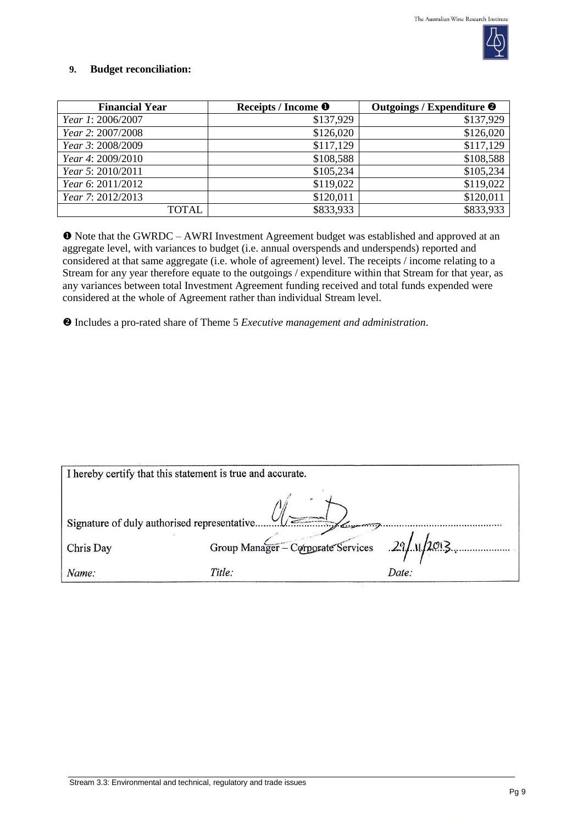

### **9. Budget reconciliation:**

| <b>Financial Year</b> | Receipts / Income <sup>O</sup> | Outgoings / Expenditure <sup>@</sup> |
|-----------------------|--------------------------------|--------------------------------------|
| Year 1: 2006/2007     | \$137,929                      | \$137,929                            |
| Year 2: 2007/2008     | \$126,020                      | \$126,020                            |
| Year 3: 2008/2009     | \$117,129                      | \$117,129                            |
| Year 4: 2009/2010     | \$108,588                      | \$108,588                            |
| Year 5: 2010/2011     | \$105,234                      | \$105,234                            |
| Year 6: 2011/2012     | \$119,022                      | \$119,022                            |
| Year 7: 2012/2013     | \$120,011                      | \$120,011                            |
| TOTAL                 | \$833,933                      | \$833,933                            |

 Note that the GWRDC – AWRI Investment Agreement budget was established and approved at an aggregate level, with variances to budget (i.e. annual overspends and underspends) reported and considered at that same aggregate (i.e. whole of agreement) level. The receipts / income relating to a Stream for any year therefore equate to the outgoings / expenditure within that Stream for that year, as any variances between total Investment Agreement funding received and total funds expended were considered at the whole of Agreement rather than individual Stream level.

Includes a pro-rated share of Theme 5 *Executive management and administration*.

| I hereby certify that this statement is true and accurate. |                                               |       |  |
|------------------------------------------------------------|-----------------------------------------------|-------|--|
| $\sum_{i=1}^{n}$                                           |                                               |       |  |
| Chris Day                                                  | Group Manager - Corporate Services 29/11/2013 |       |  |
| Name:                                                      | Title:                                        | Date: |  |